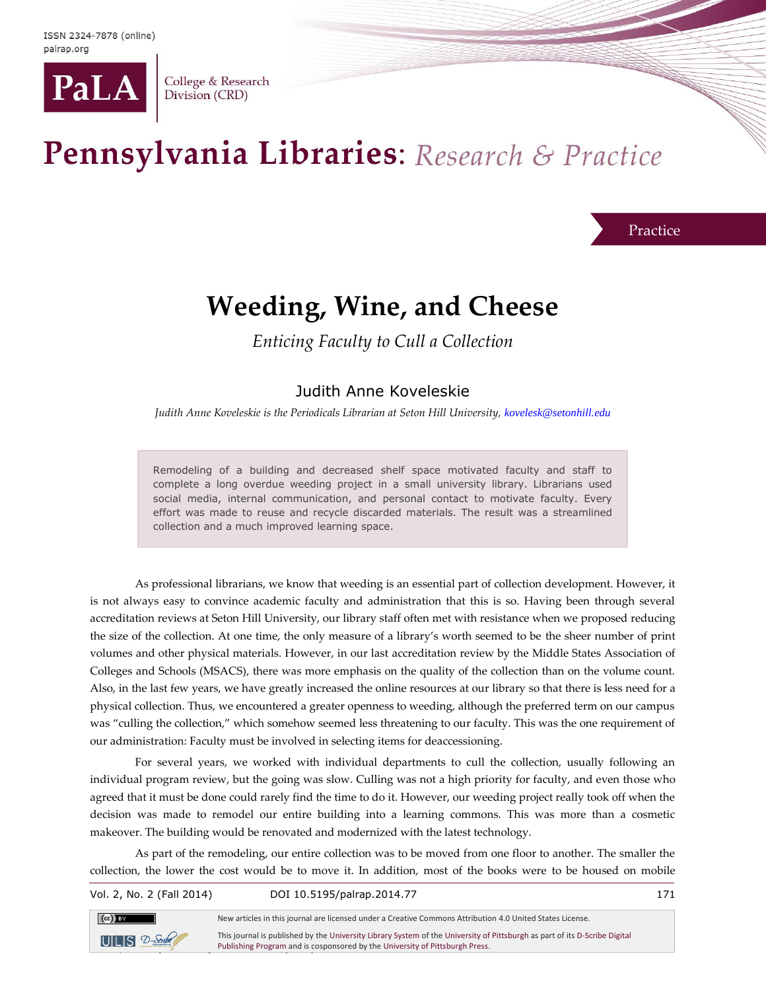

College & Research Division (CRD)

# Pennsylvania Libraries: Research & Practice

#### Practice

## **Weeding, Wine, and Cheese**

*Enticing Faculty to Cull a Collection*

#### Judith Anne Koveleskie

*Judith Anne Koveleskie is the Periodicals Librarian at Seton Hill University, [kovelesk@setonhill.edu](mailto:kovelesk@setonhill.edu)*

Remodeling of a building and decreased shelf space motivated faculty and staff to complete a long overdue weeding project in a small university library. Librarians used social media, internal communication, and personal contact to motivate faculty. Every effort was made to reuse and recycle discarded materials. The result was a streamlined collection and a much improved learning space.

As professional librarians, we know that weeding is an essential part of collection development. However, it is not always easy to convince academic faculty and administration that this is so. Having been through several accreditation reviews at Seton Hill University, our library staff often met with resistance when we proposed reducing the size of the collection. At one time, the only measure of a library's worth seemed to be the sheer number of print volumes and other physical materials. However, in our last accreditation review by the Middle States Association of Colleges and Schools (MSACS), there was more emphasis on the quality of the collection than on the volume count. Also, in the last few years, we have greatly increased the online resources at our library so that there is less need for a physical collection. Thus, we encountered a greater openness to weeding, although the preferred term on our campus was "culling the collection," which somehow seemed less threatening to our faculty. This was the one requirement of our administration: Faculty must be involved in selecting items for deaccessioning.

For several years, we worked with individual departments to cull the collection, usually following an individual program review, but the going was slow. Culling was not a high priority for faculty, and even those who agreed that it must be done could rarely find the time to do it. However, our weeding project really took off when the decision was made to remodel our entire building into a learning commons. This was more than a cosmetic makeover. The building would be renovated and modernized with the latest technology.

As part of the remodeling, our entire collection was to be moved from one floor to another. The smaller the collection, the lower the cost would be to move it. In addition, most of the books were to be housed on mobile

| Vol. 2, No. 2 (Fall 2014) | DOI 10.5195/palrap.2014.77                                                                                                                                                                                 | 171 |
|---------------------------|------------------------------------------------------------------------------------------------------------------------------------------------------------------------------------------------------------|-----|
| $(cc)$ BY                 | New articles in this journal are licensed under a Creative Commons Attribution 4.0 United States License.                                                                                                  |     |
| $UILS$ $D-Solc$           | This journal is published by the University Library System of the University of Pittsburgh as part of its D-Scribe Digital<br>Publishing Program and is cosponsored by the University of Pittsburgh Press. |     |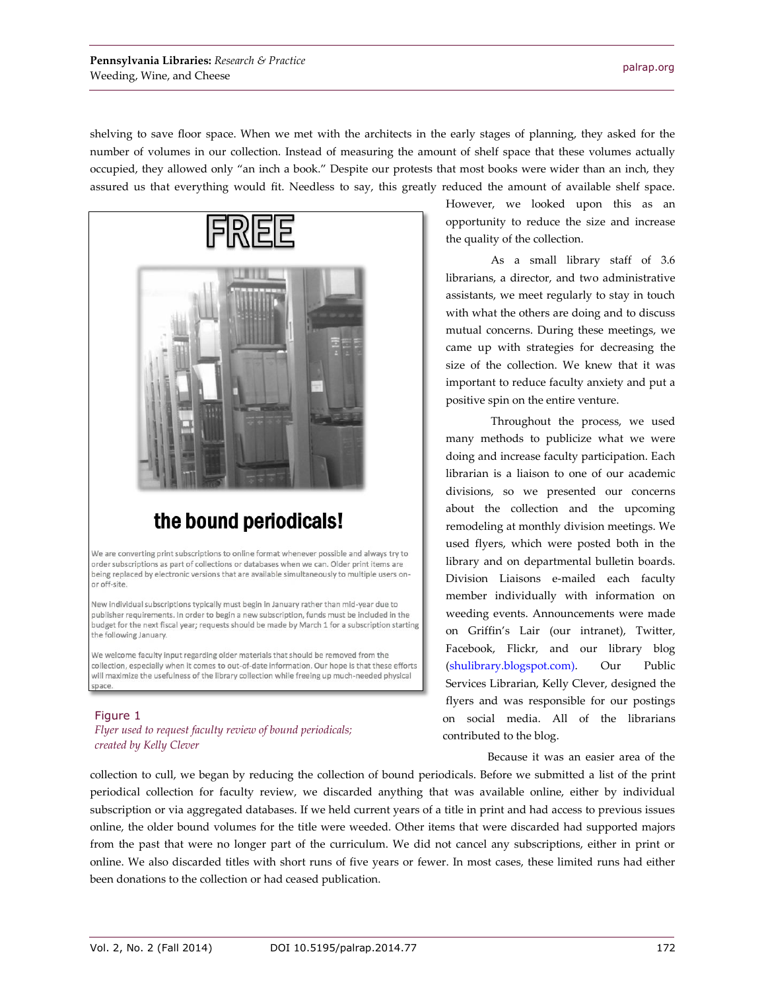shelving to save floor space. When we met with the architects in the early stages of planning, they asked for the number of volumes in our collection. Instead of measuring the amount of shelf space that these volumes actually occupied, they allowed only "an inch a book." Despite our protests that most books were wider than an inch, they assured us that everything would fit. Needless to say, this greatly reduced the amount of available shelf space.



## the bound periodicals!

We are converting print subscriptions to online format whenever possible and always try to order subscriptions as part of collections or databases when we can. Older print items are being replaced by electronic versions that are available simultaneously to multiple users onor off-site.

New individual subscriptions typically must begin in January rather than mid-year due to publisher requirements. In order to begin a new subscription, funds must be included in the budget for the next fiscal year; requests should be made by March 1 for a subscription starting the following January.

We welcome faculty input regarding older materials that should be removed from the collection, especially when it comes to out-of-date information. Our hope is that these efforts will maximize the usefulness of the library collection while freeing up much-needed physical space

#### Figure 1

*Flyer used to request faculty review of bound periodicals; created by Kelly Clever*

However, we looked upon this as an opportunity to reduce the size and increase the quality of the collection.

As a small library staff of 3.6 librarians, a director, and two administrative assistants, we meet regularly to stay in touch with what the others are doing and to discuss mutual concerns. During these meetings, we came up with strategies for decreasing the size of the collection. We knew that it was important to reduce faculty anxiety and put a positive spin on the entire venture.

Throughout the process, we used many methods to publicize what we were doing and increase faculty participation. Each librarian is a liaison to one of our academic divisions, so we presented our concerns about the collection and the upcoming remodeling at monthly division meetings. We used flyers, which were posted both in the library and on departmental bulletin boards. Division Liaisons e-mailed each faculty member individually with information on weeding events. Announcements were made on Griffin's Lair (our intranet), Twitter, Facebook, Flickr, and our library blog [\(shulibrary.blogspot.com\)](http://shulibrary.blogspot.com/). Our Public Services Librarian, Kelly Clever, designed the flyers and was responsible for our postings on social media. All of the librarians contributed to the blog.

Because it was an easier area of the

collection to cull, we began by reducing the collection of bound periodicals. Before we submitted a list of the print periodical collection for faculty review, we discarded anything that was available online, either by individual subscription or via aggregated databases. If we held current years of a title in print and had access to previous issues online, the older bound volumes for the title were weeded. Other items that were discarded had supported majors from the past that were no longer part of the curriculum. We did not cancel any subscriptions, either in print or online. We also discarded titles with short runs of five years or fewer. In most cases, these limited runs had either been donations to the collection or had ceased publication.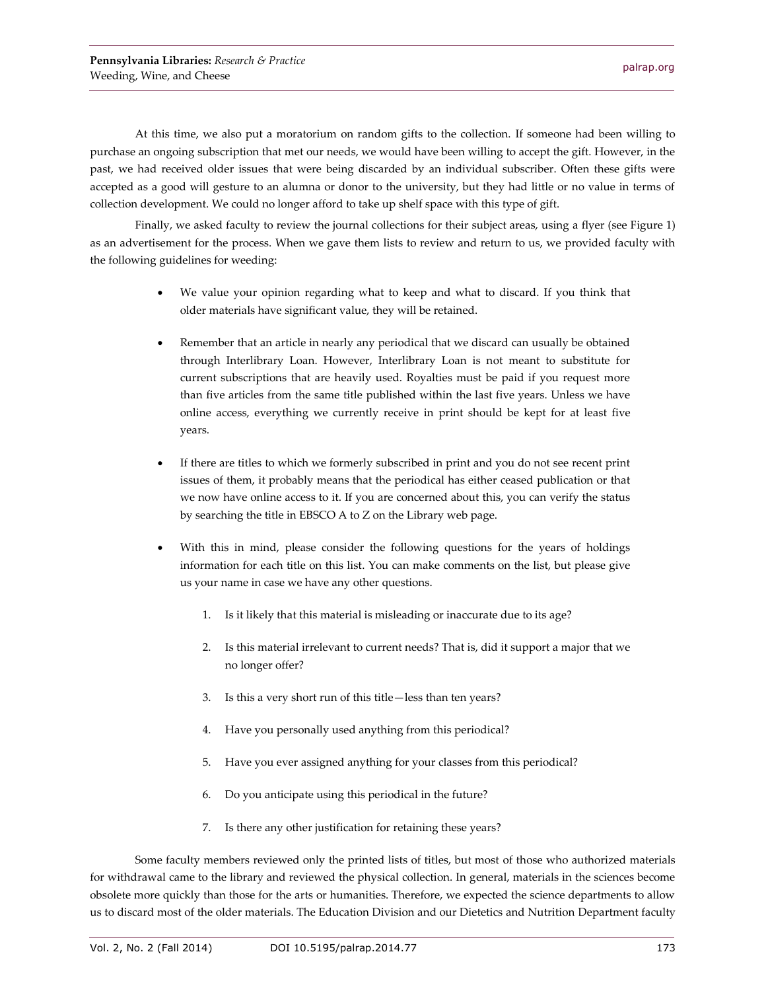At this time, we also put a moratorium on random gifts to the collection. If someone had been willing to purchase an ongoing subscription that met our needs, we would have been willing to accept the gift. However, in the past, we had received older issues that were being discarded by an individual subscriber. Often these gifts were accepted as a good will gesture to an alumna or donor to the university, but they had little or no value in terms of collection development. We could no longer afford to take up shelf space with this type of gift.

Finally, we asked faculty to review the journal collections for their subject areas, using a flyer (see Figure 1) as an advertisement for the process. When we gave them lists to review and return to us, we provided faculty with the following guidelines for weeding:

- We value your opinion regarding what to keep and what to discard. If you think that older materials have significant value, they will be retained.
- Remember that an article in nearly any periodical that we discard can usually be obtained through Interlibrary Loan. However, Interlibrary Loan is not meant to substitute for current subscriptions that are heavily used. Royalties must be paid if you request more than five articles from the same title published within the last five years. Unless we have online access, everything we currently receive in print should be kept for at least five years.
- If there are titles to which we formerly subscribed in print and you do not see recent print issues of them, it probably means that the periodical has either ceased publication or that we now have online access to it. If you are concerned about this, you can verify the status by searching the title in EBSCO A to Z on the Library web page.
- With this in mind, please consider the following questions for the years of holdings information for each title on this list. You can make comments on the list, but please give us your name in case we have any other questions.
	- 1. Is it likely that this material is misleading or inaccurate due to its age?
	- 2. Is this material irrelevant to current needs? That is, did it support a major that we no longer offer?
	- 3. Is this a very short run of this title—less than ten years?
	- 4. Have you personally used anything from this periodical?
	- 5. Have you ever assigned anything for your classes from this periodical?
	- 6. Do you anticipate using this periodical in the future?
	- 7. Is there any other justification for retaining these years?

Some faculty members reviewed only the printed lists of titles, but most of those who authorized materials for withdrawal came to the library and reviewed the physical collection. In general, materials in the sciences become obsolete more quickly than those for the arts or humanities. Therefore, we expected the science departments to allow us to discard most of the older materials. The Education Division and our Dietetics and Nutrition Department faculty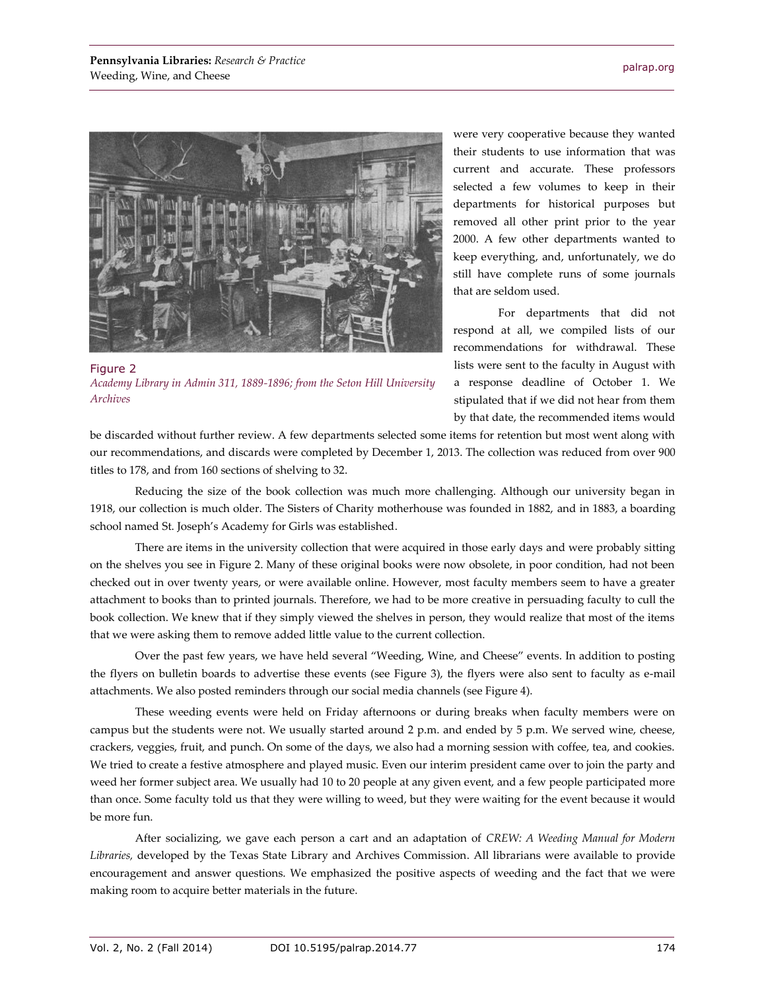

Figure 2 *Academy Library in Admin 311, 1889-1896; from the Seton Hill University Archives*

were very cooperative because they wanted their students to use information that was current and accurate. These professors selected a few volumes to keep in their departments for historical purposes but removed all other print prior to the year 2000. A few other departments wanted to keep everything, and, unfortunately, we do still have complete runs of some journals that are seldom used.

For departments that did not respond at all, we compiled lists of our recommendations for withdrawal. These lists were sent to the faculty in August with a response deadline of October 1. We stipulated that if we did not hear from them by that date, the recommended items would

be discarded without further review. A few departments selected some items for retention but most went along with our recommendations, and discards were completed by December 1, 2013. The collection was reduced from over 900 titles to 178, and from 160 sections of shelving to 32.

Reducing the size of the book collection was much more challenging. Although our university began in 1918, our collection is much older. The Sisters of Charity motherhouse was founded in 1882, and in 1883, a boarding school named St. Joseph's Academy for Girls was established.

There are items in the university collection that were acquired in those early days and were probably sitting on the shelves you see in Figure 2. Many of these original books were now obsolete, in poor condition, had not been checked out in over twenty years, or were available online. However, most faculty members seem to have a greater attachment to books than to printed journals. Therefore, we had to be more creative in persuading faculty to cull the book collection. We knew that if they simply viewed the shelves in person, they would realize that most of the items that we were asking them to remove added little value to the current collection.

Over the past few years, we have held several "Weeding, Wine, and Cheese" events. In addition to posting the flyers on bulletin boards to advertise these events (see Figure 3), the flyers were also sent to faculty as e-mail attachments. We also posted reminders through our social media channels (see Figure 4).

These weeding events were held on Friday afternoons or during breaks when faculty members were on campus but the students were not. We usually started around 2 p.m. and ended by 5 p.m. We served wine, cheese, crackers, veggies, fruit, and punch. On some of the days, we also had a morning session with coffee, tea, and cookies. We tried to create a festive atmosphere and played music. Even our interim president came over to join the party and weed her former subject area. We usually had 10 to 20 people at any given event, and a few people participated more than once. Some faculty told us that they were willing to weed, but they were waiting for the event because it would be more fun.

After socializing, we gave each person a cart and an adaptation of *CREW: A Weeding Manual for Modern Libraries,* developed by the Texas State Library and Archives Commission. All librarians were available to provide encouragement and answer questions. We emphasized the positive aspects of weeding and the fact that we were making room to acquire better materials in the future.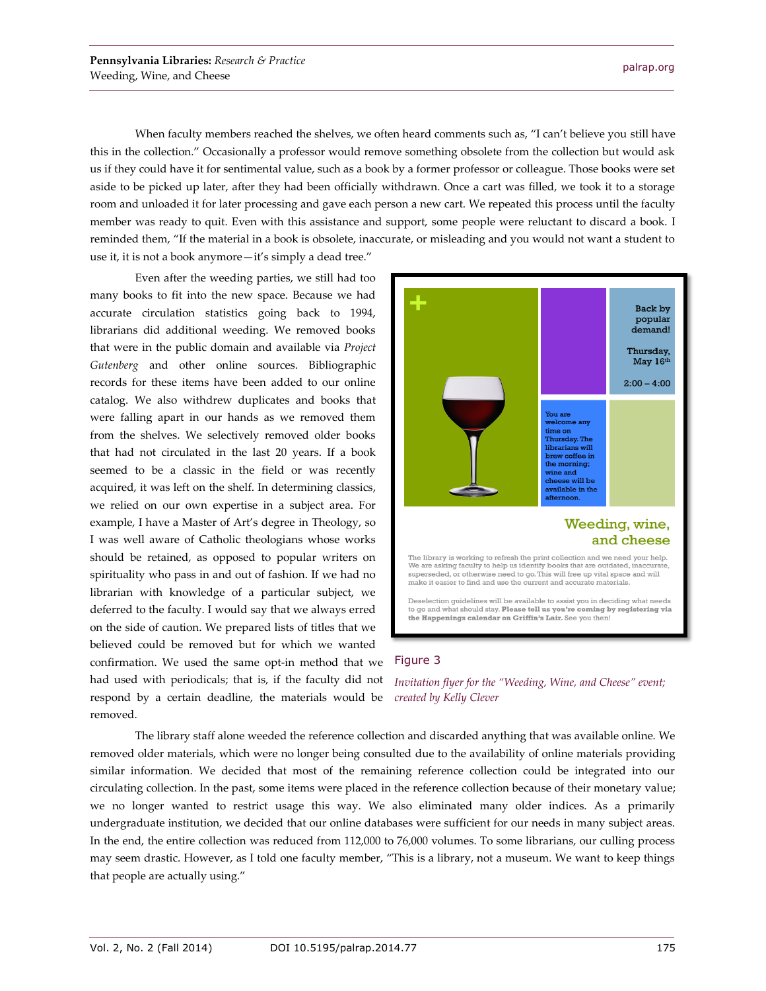When faculty members reached the shelves, we often heard comments such as, "I can't believe you still have this in the collection." Occasionally a professor would remove something obsolete from the collection but would ask us if they could have it for sentimental value, such as a book by a former professor or colleague. Those books were set aside to be picked up later, after they had been officially withdrawn. Once a cart was filled, we took it to a storage room and unloaded it for later processing and gave each person a new cart. We repeated this process until the faculty member was ready to quit. Even with this assistance and support, some people were reluctant to discard a book. I reminded them, "If the material in a book is obsolete, inaccurate, or misleading and you would not want a student to use it, it is not a book anymore—it's simply a dead tree."

Even after the weeding parties, we still had too many books to fit into the new space. Because we had accurate circulation statistics going back to 1994, librarians did additional weeding. We removed books that were in the public domain and available via *Project Gutenberg* and other online sources. Bibliographic records for these items have been added to our online catalog. We also withdrew duplicates and books that were falling apart in our hands as we removed them from the shelves. We selectively removed older books that had not circulated in the last 20 years. If a book seemed to be a classic in the field or was recently acquired, it was left on the shelf. In determining classics, we relied on our own expertise in a subject area. For example, I have a Master of Art's degree in Theology, so I was well aware of Catholic theologians whose works should be retained, as opposed to popular writers on spirituality who pass in and out of fashion. If we had no librarian with knowledge of a particular subject, we deferred to the faculty. I would say that we always erred on the side of caution. We prepared lists of titles that we believed could be removed but for which we wanted confirmation. We used the same opt-in method that we had used with periodicals; that is, if the faculty did not respond by a certain deadline, the materials would be removed.



#### Figure 3

*Invitation flyer for the "Weeding, Wine, and Cheese" event; created by Kelly Clever*

The library staff alone weeded the reference collection and discarded anything that was available online. We removed older materials, which were no longer being consulted due to the availability of online materials providing similar information. We decided that most of the remaining reference collection could be integrated into our circulating collection. In the past, some items were placed in the reference collection because of their monetary value; we no longer wanted to restrict usage this way. We also eliminated many older indices. As a primarily undergraduate institution, we decided that our online databases were sufficient for our needs in many subject areas. In the end, the entire collection was reduced from 112,000 to 76,000 volumes. To some librarians, our culling process may seem drastic. However, as I told one faculty member, "This is a library, not a museum. We want to keep things that people are actually using."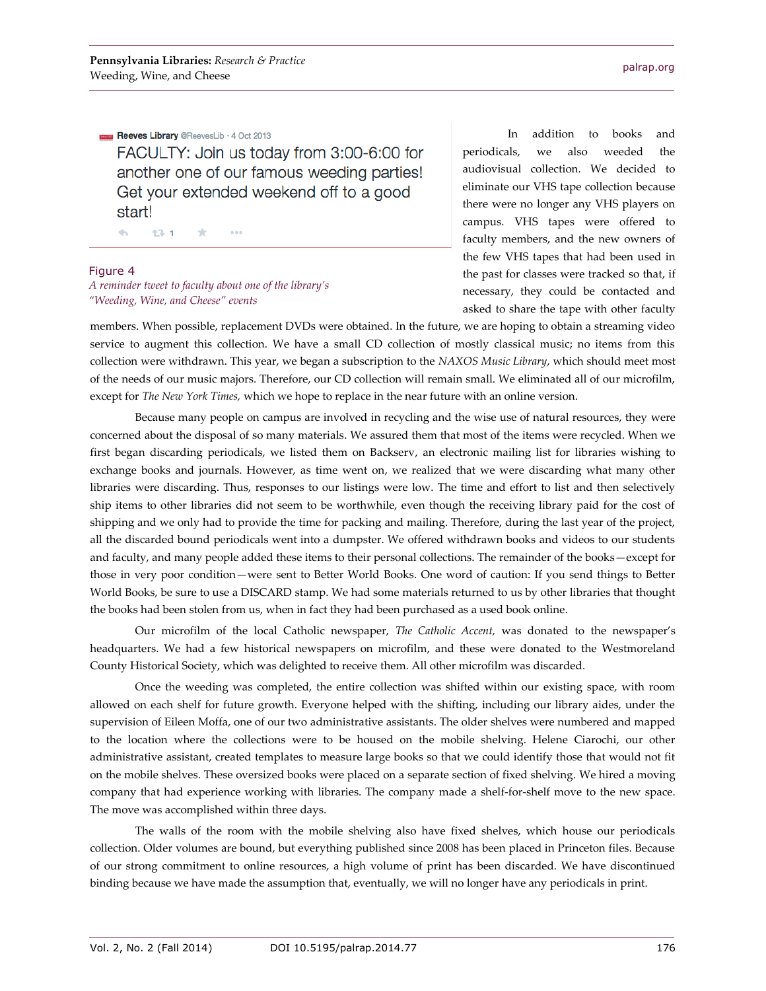Reeves Library @ReevesLib · 4 Oct 2013

FACULTY: Join us today from 3:00-6:00 for another one of our famous weeding parties! Get your extended weekend off to a good start!

 $\Delta \omega$ 13-1  $\pm$  $0.0.0$ 

#### Figure 4

*A reminder tweet to faculty about one of the library's "Weeding, Wine, and Cheese" events*

In addition to books and periodicals, we also weeded the audiovisual collection. We decided to eliminate our VHS tape collection because there were no longer any VHS players on campus. VHS tapes were offered to faculty members, and the new owners of the few VHS tapes that had been used in the past for classes were tracked so that, if necessary, they could be contacted and asked to share the tape with other faculty

members. When possible, replacement DVDs were obtained. In the future, we are hoping to obtain a streaming video service to augment this collection. We have a small CD collection of mostly classical music; no items from this collection were withdrawn. This year, we began a subscription to the *NAXOS Music Library*, which should meet most of the needs of our music majors. Therefore, our CD collection will remain small. We eliminated all of our microfilm, except for *The New York Times,* which we hope to replace in the near future with an online version.

Because many people on campus are involved in recycling and the wise use of natural resources, they were concerned about the disposal of so many materials. We assured them that most of the items were recycled. When we first began discarding periodicals, we listed them on Backserv, an electronic mailing list for libraries wishing to exchange books and journals. However, as time went on, we realized that we were discarding what many other libraries were discarding. Thus, responses to our listings were low. The time and effort to list and then selectively ship items to other libraries did not seem to be worthwhile, even though the receiving library paid for the cost of shipping and we only had to provide the time for packing and mailing. Therefore, during the last year of the project, all the discarded bound periodicals went into a dumpster. We offered withdrawn books and videos to our students and faculty, and many people added these items to their personal collections. The remainder of the books—except for those in very poor condition—were sent to Better World Books. One word of caution: If you send things to Better World Books, be sure to use a DISCARD stamp. We had some materials returned to us by other libraries that thought the books had been stolen from us, when in fact they had been purchased as a used book online.

Our microfilm of the local Catholic newspaper, *The Catholic Accent,* was donated to the newspaper's headquarters. We had a few historical newspapers on microfilm, and these were donated to the Westmoreland County Historical Society, which was delighted to receive them. All other microfilm was discarded.

Once the weeding was completed, the entire collection was shifted within our existing space, with room allowed on each shelf for future growth. Everyone helped with the shifting, including our library aides, under the supervision of Eileen Moffa, one of our two administrative assistants. The older shelves were numbered and mapped to the location where the collections were to be housed on the mobile shelving. Helene Ciarochi, our other administrative assistant, created templates to measure large books so that we could identify those that would not fit on the mobile shelves. These oversized books were placed on a separate section of fixed shelving. We hired a moving company that had experience working with libraries. The company made a shelf-for-shelf move to the new space. The move was accomplished within three days.

The walls of the room with the mobile shelving also have fixed shelves, which house our periodicals collection. Older volumes are bound, but everything published since 2008 has been placed in Princeton files. Because of our strong commitment to online resources, a high volume of print has been discarded. We have discontinued binding because we have made the assumption that, eventually, we will no longer have any periodicals in print.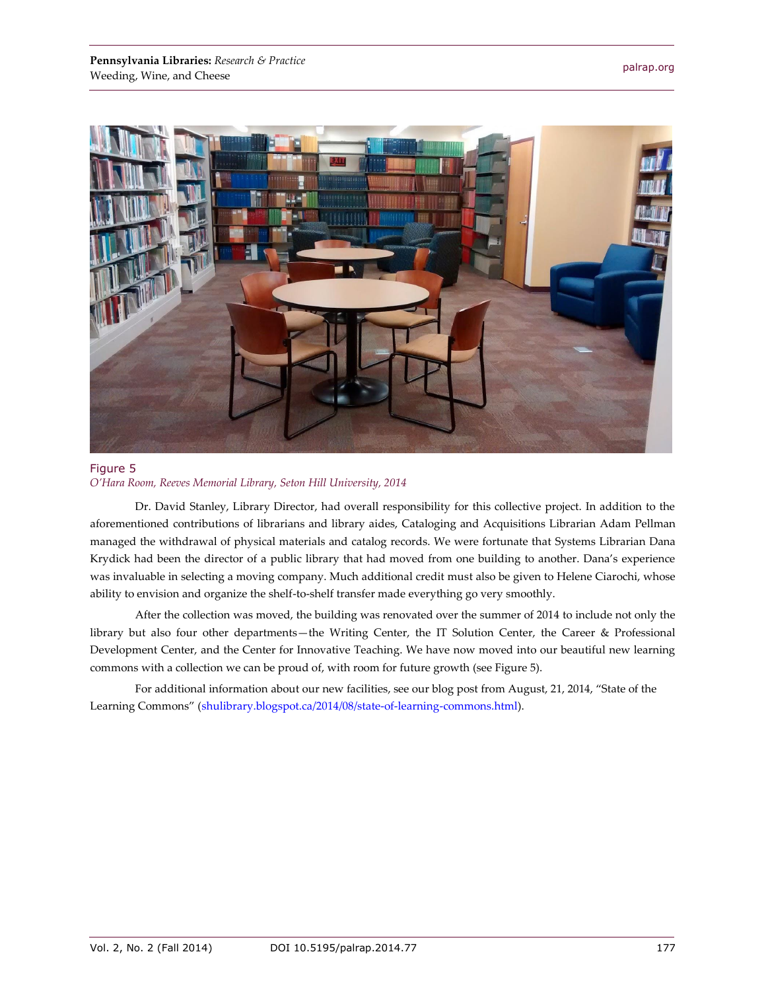

#### Figure 5 *O'Hara Room, Reeves Memorial Library, Seton Hill University, 2014*

Dr. David Stanley, Library Director, had overall responsibility for this collective project. In addition to the aforementioned contributions of librarians and library aides, Cataloging and Acquisitions Librarian Adam Pellman managed the withdrawal of physical materials and catalog records. We were fortunate that Systems Librarian Dana Krydick had been the director of a public library that had moved from one building to another. Dana's experience was invaluable in selecting a moving company. Much additional credit must also be given to Helene Ciarochi, whose ability to envision and organize the shelf-to-shelf transfer made everything go very smoothly.

After the collection was moved, the building was renovated over the summer of 2014 to include not only the library but also four other departments—the Writing Center, the IT Solution Center, the Career & Professional Development Center, and the Center for Innovative Teaching. We have now moved into our beautiful new learning commons with a collection we can be proud of, with room for future growth (see Figure 5).

For additional information about our new facilities, see our blog post from August, 21, 2014, "State of the Learning Commons" ([shulibrary.blogspot.ca/2014/08/state-of-learning-commons.html\)](http://shulibrary.blogspot.ca/2014/08/state-of-learning-commons.html).